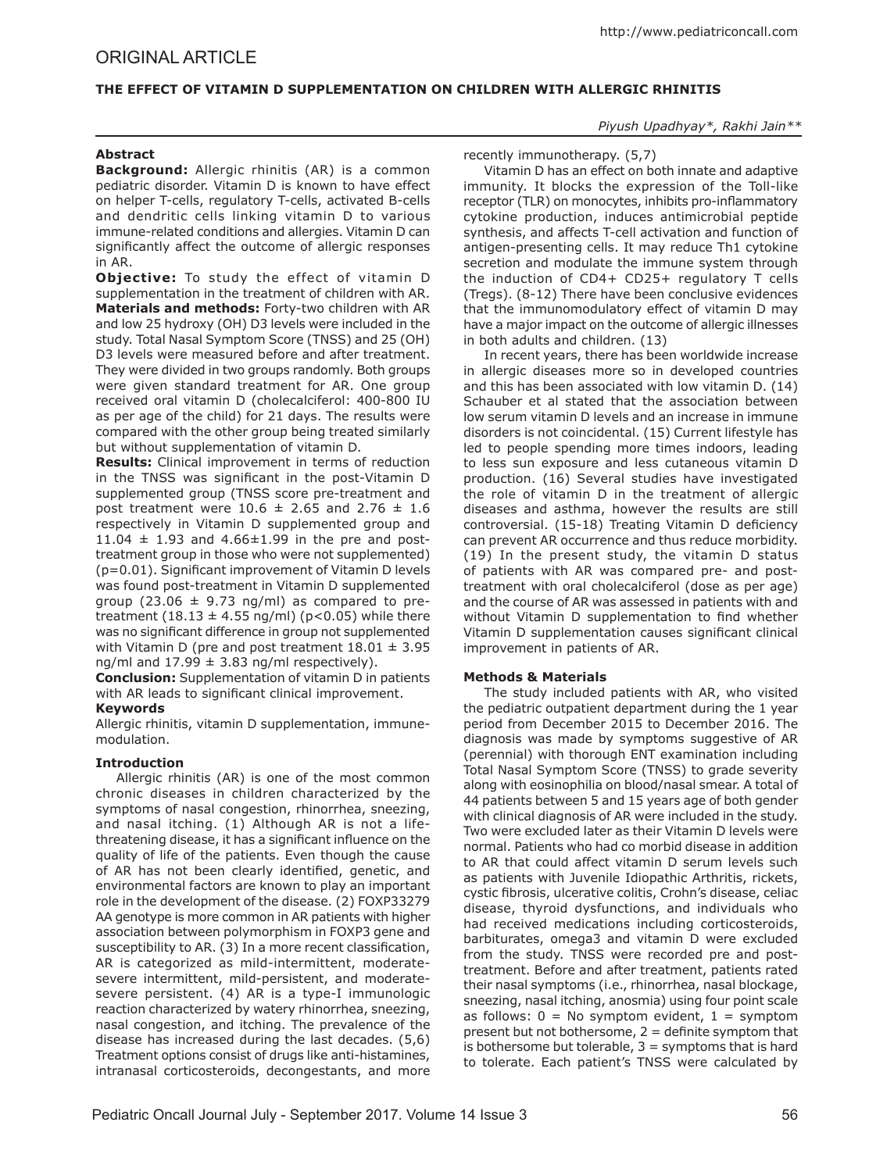# **THE EFFECT OF VITAMIN D SUPPLEMENTATION ON CHILDREN WITH ALLERGIC RHINITIS**

## *Piyush Upadhyay\*, Rakhi Jain\*\**

## **Abstract**

**Background:** Allergic rhinitis (AR) is a common pediatric disorder. Vitamin D is known to have effect on helper T-cells, regulatory T-cells, activated B-cells and dendritic cells linking vitamin D to various immune-related conditions and allergies. Vitamin D can significantly affect the outcome of allergic responses in AR.

**Objective:** To study the effect of vitamin D supplementation in the treatment of children with AR. **Materials and methods:** Forty-two children with AR and low 25 hydroxy (OH) D3 levels were included in the study. Total Nasal Symptom Score (TNSS) and 25 (OH) D3 levels were measured before and after treatment. They were divided in two groups randomly. Both groups were given standard treatment for AR. One group received oral vitamin D (cholecalciferol: 400-800 IU as per age of the child) for 21 days. The results were compared with the other group being treated similarly but without supplementation of vitamin D.

**Results:** Clinical improvement in terms of reduction in the TNSS was significant in the post-Vitamin D supplemented group (TNSS score pre-treatment and post treatment were  $10.6 \pm 2.65$  and  $2.76 \pm 1.6$ respectively in Vitamin D supplemented group and 11.04  $\pm$  1.93 and 4.66 $\pm$ 1.99 in the pre and posttreatment group in those who were not supplemented) (p=0.01). Significant improvement of Vitamin D levels was found post-treatment in Vitamin D supplemented group (23.06  $\pm$  9.73 ng/ml) as compared to pretreatment  $(18.13 \pm 4.55 \text{ ng/ml})$  (p<0.05) while there was no significant difference in group not supplemented with Vitamin D (pre and post treatment  $18.01 \pm 3.95$ ng/ml and  $17.99 \pm 3.83$  ng/ml respectively).

**Conclusion:** Supplementation of vitamin D in patients with AR leads to significant clinical improvement.

## **Keywords**

Allergic rhinitis, vitamin D supplementation, immunemodulation.

## **Introduction**

Allergic rhinitis (AR) is one of the most common chronic diseases in children characterized by the symptoms of nasal congestion, rhinorrhea, sneezing, and nasal itching. (1) Although AR is not a lifethreatening disease, it has a significant influence on the quality of life of the patients. Even though the cause of AR has not been clearly identified, genetic, and environmental factors are known to play an important role in the development of the disease. (2) FOXP33279 AA genotype is more common in AR patients with higher association between polymorphism in FOXP3 gene and susceptibility to AR. (3) In a more recent classification, AR is categorized as mild-intermittent, moderatesevere intermittent, mild-persistent, and moderatesevere persistent. (4) AR is a type-I immunologic reaction characterized by watery rhinorrhea, sneezing, nasal congestion, and itching. The prevalence of the disease has increased during the last decades. (5,6) Treatment options consist of drugs like anti-histamines, intranasal corticosteroids, decongestants, and more

## recently immunotherapy. (5,7)

Vitamin D has an effect on both innate and adaptive immunity. It blocks the expression of the Toll-like receptor (TLR) on monocytes, inhibits pro-inflammatory cytokine production, induces antimicrobial peptide synthesis, and affects T-cell activation and function of antigen-presenting cells. It may reduce Th1 cytokine secretion and modulate the immune system through the induction of CD4+ CD25+ regulatory T cells (Tregs). (8-12) There have been conclusive evidences that the immunomodulatory effect of vitamin D may have a major impact on the outcome of allergic illnesses in both adults and children. (13)

In recent years, there has been worldwide increase in allergic diseases more so in developed countries and this has been associated with low vitamin D. (14) Schauber et al stated that the association between low serum vitamin D levels and an increase in immune disorders is not coincidental. (15) Current lifestyle has led to people spending more times indoors, leading to less sun exposure and less cutaneous vitamin D production. (16) Several studies have investigated the role of vitamin D in the treatment of allergic diseases and asthma, however the results are still controversial. (15-18) Treating Vitamin D deficiency can prevent AR occurrence and thus reduce morbidity. (19) In the present study, the vitamin D status of patients with AR was compared pre- and posttreatment with oral cholecalciferol (dose as per age) and the course of AR was assessed in patients with and without Vitamin D supplementation to find whether Vitamin D supplementation causes significant clinical improvement in patients of AR.

## **Methods & Materials**

The study included patients with AR, who visited the pediatric outpatient department during the 1 year period from December 2015 to December 2016. The diagnosis was made by symptoms suggestive of AR (perennial) with thorough ENT examination including Total Nasal Symptom Score (TNSS) to grade severity along with eosinophilia on blood/nasal smear. A total of 44 patients between 5 and 15 years age of both gender with clinical diagnosis of AR were included in the study. Two were excluded later as their Vitamin D levels were normal. Patients who had co morbid disease in addition to AR that could affect vitamin D serum levels such as patients with Juvenile Idiopathic Arthritis, rickets, cystic fibrosis, ulcerative colitis, Crohn's disease, celiac disease, thyroid dysfunctions, and individuals who had received medications including corticosteroids, barbiturates, omega3 and vitamin D were excluded from the study. TNSS were recorded pre and posttreatment. Before and after treatment, patients rated their nasal symptoms (i.e., rhinorrhea, nasal blockage, sneezing, nasal itching, anosmia) using four point scale as follows:  $0 = No$  symptom evident,  $1 =$  symptom present but not bothersome,  $2 =$  definite symptom that is bothersome but tolerable,  $3 =$  symptoms that is hard to tolerate. Each patient's TNSS were calculated by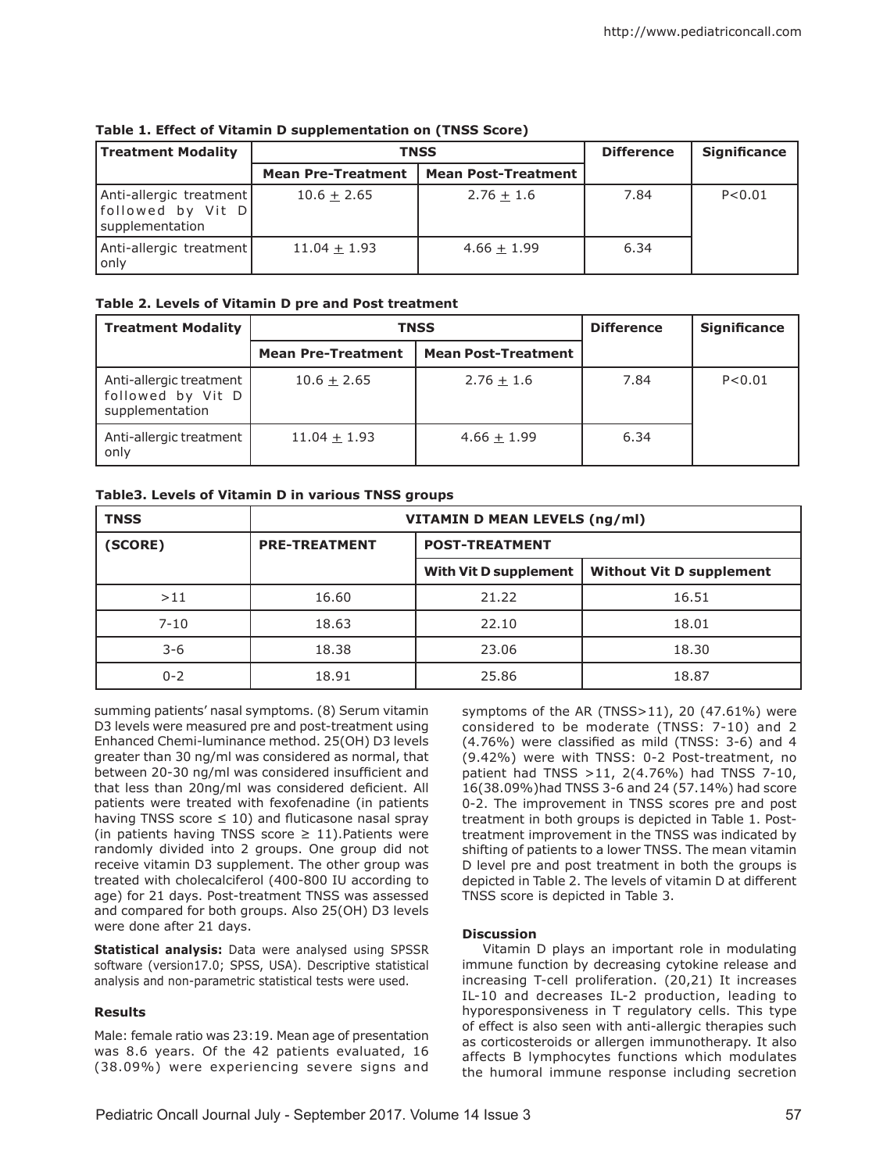| <b>Treatment Modality</b>                                         | <b>TNSS</b>               |                            | <b>Difference</b> | <b>Significance</b> |
|-------------------------------------------------------------------|---------------------------|----------------------------|-------------------|---------------------|
|                                                                   | <b>Mean Pre-Treatment</b> | <b>Mean Post-Treatment</b> |                   |                     |
| Anti-allergic treatment<br>[followed by Vit D]<br>supplementation | $10.6 + 2.65$             | $2.76 + 1.6$               | 7.84              | P < 0.01            |
| Anti-allergic treatment<br>l onlv                                 | $11.04 + 1.93$            | $4.66 + 1.99$              | 6.34              |                     |

**Table 1. Effect of Vitamin D supplementation on (TNSS Score)**

## **Table 2. Levels of Vitamin D pre and Post treatment**

| <b>Treatment Modality</b>                                       | <b>TNSS</b>               |                            | <b>Difference</b> | <b>Significance</b> |
|-----------------------------------------------------------------|---------------------------|----------------------------|-------------------|---------------------|
|                                                                 | <b>Mean Pre-Treatment</b> | <b>Mean Post-Treatment</b> |                   |                     |
| Anti-allergic treatment<br>followed by Vit D<br>supplementation | $10.6 + 2.65$             | $2.76 + 1.6$               | 7.84              | P < 0.01            |
| Anti-allergic treatment<br>only                                 | $11.04 + 1.93$            | $4.66 + 1.99$              | 6.34              |                     |

# **Table3. Levels of Vitamin D in various TNSS groups**

| <b>TNSS</b> | <b>VITAMIN D MEAN LEVELS (ng/ml)</b> |                              |                                 |  |
|-------------|--------------------------------------|------------------------------|---------------------------------|--|
| (SCORE)     | <b>PRE-TREATMENT</b>                 | <b>POST-TREATMENT</b>        |                                 |  |
|             |                                      | <b>With Vit D supplement</b> | <b>Without Vit D supplement</b> |  |
| >11         | 16.60                                | 21.22                        | 16.51                           |  |
| $7 - 10$    | 18.63                                | 22.10                        | 18.01                           |  |
| $3 - 6$     | 18.38                                | 23.06                        | 18.30                           |  |
| $0 - 2$     | 18.91                                | 25.86                        | 18.87                           |  |

summing patients' nasal symptoms. (8) Serum vitamin D3 levels were measured pre and post-treatment using Enhanced Chemi-luminance method. 25(OH) D3 levels greater than 30 ng/ml was considered as normal, that between 20-30 ng/ml was considered insufficient and that less than 20ng/ml was considered deficient. All patients were treated with fexofenadine (in patients having TNSS score  $\leq$  10) and fluticasone nasal spray (in patients having TNSS score  $\geq$  11). Patients were randomly divided into 2 groups. One group did not receive vitamin D3 supplement. The other group was treated with cholecalciferol (400-800 IU according to age) for 21 days. Post-treatment TNSS was assessed and compared for both groups. Also 25(OH) D3 levels were done after 21 days.

**Statistical analysis:** Data were analysed using SPSSR software (version17.0; SPSS, USA). Descriptive statistical analysis and non-parametric statistical tests were used.

# **Results**

Male: female ratio was 23:19. Mean age of presentation was 8.6 years. Of the 42 patients evaluated, 16 (38.09%) were experiencing severe signs and

symptoms of the AR (TNSS>11), 20 (47.61%) were considered to be moderate (TNSS: 7-10) and 2 (4.76%) were classified as mild (TNSS: 3-6) and 4 (9.42%) were with TNSS: 0-2 Post-treatment, no patient had TNSS >11, 2(4.76%) had TNSS 7-10, 16(38.09%)had TNSS 3-6 and 24 (57.14%) had score 0-2. The improvement in TNSS scores pre and post treatment in both groups is depicted in Table 1. Posttreatment improvement in the TNSS was indicated by shifting of patients to a lower TNSS. The mean vitamin D level pre and post treatment in both the groups is depicted in Table 2. The levels of vitamin D at different TNSS score is depicted in Table 3.

## **Discussion**

Vitamin D plays an important role in modulating immune function by decreasing cytokine release and increasing T-cell proliferation. (20,21) It increases IL-10 and decreases IL-2 production, leading to hyporesponsiveness in T regulatory cells. This type of effect is also seen with anti-allergic therapies such as corticosteroids or allergen immunotherapy. It also affects B lymphocytes functions which modulates the humoral immune response including secretion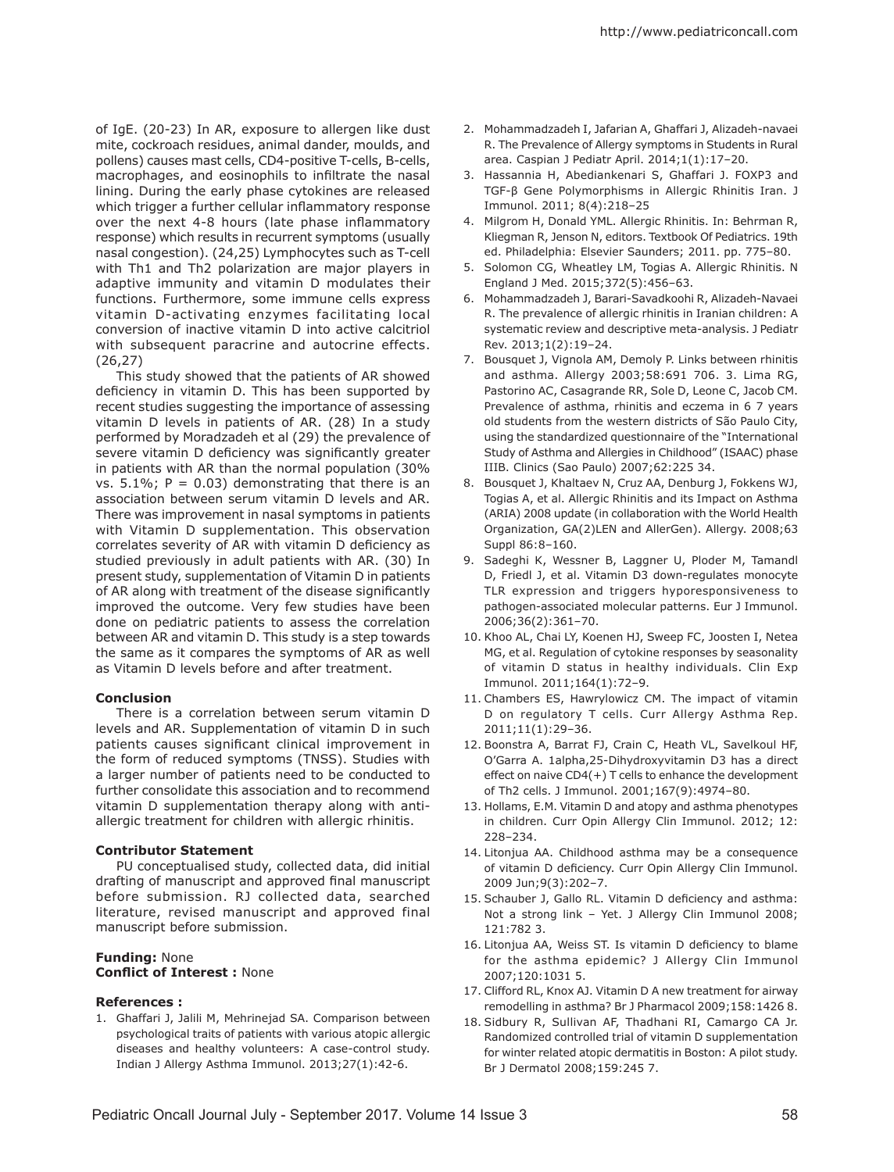of IgE. (20-23) In AR, exposure to allergen like dust mite, cockroach residues, animal dander, moulds, and pollens) causes mast cells, CD4-positive T-cells, B-cells, macrophages, and eosinophils to infiltrate the nasal lining. During the early phase cytokines are released which trigger a further cellular inflammatory response over the next 4-8 hours (late phase inflammatory response) which results in recurrent symptoms (usually nasal congestion). (24,25) Lymphocytes such as T-cell with Th1 and Th2 polarization are major players in adaptive immunity and vitamin D modulates their functions. Furthermore, some immune cells express vitamin D-activating enzymes facilitating local conversion of inactive vitamin D into active calcitriol with subsequent paracrine and autocrine effects. (26,27)

This study showed that the patients of AR showed deficiency in vitamin D. This has been supported by recent studies suggesting the importance of assessing vitamin D levels in patients of AR. (28) In a study performed by Moradzadeh et al (29) the prevalence of severe vitamin D deficiency was significantly greater in patients with AR than the normal population (30% vs.  $5.1\%$ ; P = 0.03) demonstrating that there is an association between serum vitamin D levels and AR. There was improvement in nasal symptoms in patients with Vitamin D supplementation. This observation correlates severity of AR with vitamin D deficiency as studied previously in adult patients with AR. (30) In present study, supplementation of Vitamin D in patients of AR along with treatment of the disease significantly improved the outcome. Very few studies have been done on pediatric patients to assess the correlation between AR and vitamin D. This study is a step towards the same as it compares the symptoms of AR as well as Vitamin D levels before and after treatment.

### **Conclusion**

There is a correlation between serum vitamin D levels and AR. Supplementation of vitamin D in such patients causes significant clinical improvement in the form of reduced symptoms (TNSS). Studies with a larger number of patients need to be conducted to further consolidate this association and to recommend vitamin D supplementation therapy along with antiallergic treatment for children with allergic rhinitis.

#### **Contributor Statement**

PU conceptualised study, collected data, did initial drafting of manuscript and approved final manuscript before submission. RJ collected data, searched literature, revised manuscript and approved final manuscript before submission.

### **Funding:** None **Conflict of Interest :** None

#### **References :**

1. Ghaffari J, Jalili M, Mehrinejad SA. Comparison between psychological traits of patients with various atopic allergic diseases and healthy volunteers: A case-control study. Indian J Allergy Asthma Immunol. 2013;27(1):42-6.

- 2. Mohammadzadeh I, Jafarian A, Ghaffari J, Alizadeh-navaei R. The Prevalence of Allergy symptoms in Students in Rural area. Caspian J Pediatr April. 2014;1(1):17–20.
- 3. Hassannia H, Abediankenari S, Ghaffari J. FOXP3 and TGF-β Gene Polymorphisms in Allergic Rhinitis Iran. J Immunol. 2011; 8(4):218–25
- 4. Milgrom H, Donald YML. Allergic Rhinitis. In: Behrman R, Kliegman R, Jenson N, editors. Textbook Of Pediatrics. 19th ed. Philadelphia: Elsevier Saunders; 2011. pp. 775–80.
- 5. Solomon CG, Wheatley LM, Togias A. Allergic Rhinitis. N England J Med. 2015;372(5):456–63.
- 6. Mohammadzadeh J, Barari-Savadkoohi R, Alizadeh-Navaei R. The prevalence of allergic rhinitis in Iranian children: A systematic review and descriptive meta-analysis. J Pediatr Rev. 2013;1(2):19–24.
- 7. Bousquet J, Vignola AM, Demoly P. Links between rhinitis and asthma. Allergy 2003;58:691 706. 3. Lima RG, Pastorino AC, Casagrande RR, Sole D, Leone C, Jacob CM. Prevalence of asthma, rhinitis and eczema in 6 7 years old students from the western districts of São Paulo City, using the standardized questionnaire of the "International Study of Asthma and Allergies in Childhood" (ISAAC) phase IIIB. Clinics (Sao Paulo) 2007;62:225 34.
- 8. Bousquet J, Khaltaev N, Cruz AA, Denburg J, Fokkens WJ, Togias A, et al. Allergic Rhinitis and its Impact on Asthma (ARIA) 2008 update (in collaboration with the World Health Organization, GA(2)LEN and AllerGen). Allergy. 2008;63 Suppl 86:8–160.
- 9. Sadeghi K, Wessner B, Laggner U, Ploder M, Tamandl D, Friedl J, et al. Vitamin D3 down-regulates monocyte TLR expression and triggers hyporesponsiveness to pathogen-associated molecular patterns. Eur J Immunol. 2006;36(2):361–70.
- 10. Khoo AL, Chai LY, Koenen HJ, Sweep FC, Joosten I, Netea MG, et al. Regulation of cytokine responses by seasonality of vitamin D status in healthy individuals. Clin Exp Immunol. 2011;164(1):72–9.
- 11. Chambers ES, Hawrylowicz CM. The impact of vitamin D on regulatory T cells. Curr Allergy Asthma Rep. 2011;11(1):29–36.
- 12. Boonstra A, Barrat FJ, Crain C, Heath VL, Savelkoul HF, O'Garra A. 1alpha,25-Dihydroxyvitamin D3 has a direct effect on naive CD4(+) T cells to enhance the development of Th2 cells. J Immunol. 2001;167(9):4974–80.
- 13. Hollams, E.M. Vitamin D and atopy and asthma phenotypes in children. Curr Opin Allergy Clin Immunol. 2012; 12: 228–234.
- 14. Litonjua AA. Childhood asthma may be a consequence of vitamin D deficiency. Curr Opin Allergy Clin Immunol. 2009 Jun;9(3):202–7.
- 15. Schauber J, Gallo RL. Vitamin D deficiency and asthma: Not a strong link – Yet. J Allergy Clin Immunol 2008; 121:782 3.
- 16. Litonjua AA, Weiss ST. Is vitamin D deficiency to blame for the asthma epidemic? J Allergy Clin Immunol 2007;120:1031 5.
- 17. Clifford RL, Knox AJ. Vitamin D A new treatment for airway remodelling in asthma? Br J Pharmacol 2009;158:1426 8.
- 18. Sidbury R, Sullivan AF, Thadhani RI, Camargo CA Jr. Randomized controlled trial of vitamin D supplementation for winter related atopic dermatitis in Boston: A pilot study. Br J Dermatol 2008;159:245 7.